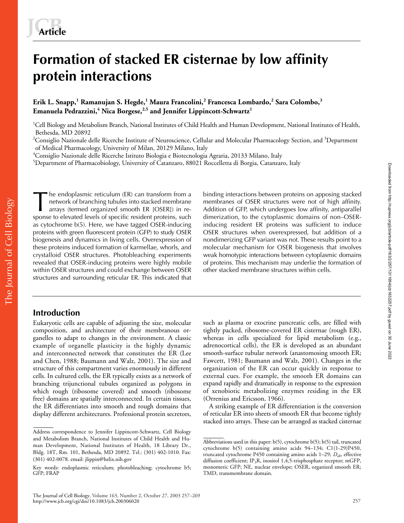# **Formation of stacked ER cisternae by low affinity protein interactions**

**Erik L. Snapp,<sup>1</sup> Ramanujan S. Hegde,<sup>1</sup> Maura Francolini,<sup>2</sup> Francesca Lombardo,<sup>2</sup> Sara Colombo,<sup>3</sup> Emanuela Pedrazzini,<sup>4</sup> Nica Borgese,2,5 and Jennifer Lippincott-Schwartz1**

<sup>1</sup>Cell Biology and Metabolism Branch, National Institutes of Child Health and Human Development, National Institutes of Health, Bethesda, MD 20892

 $^2$ Consiglio Nazionale delle Ricerche Institute of Neuroscience, Cellular and Molecular Pharmacology Section, and  $^3$ Department of Medical Pharmacology, University of Milan, 20129 Milano, Italy

4 Consiglio Nazionale delle Ricerche Istituto Biologia e Biotecnologia Agraria, 20133 Milano, Italy

5 Department of Pharmacobiology, University of Catanzaro, 88021 Roccelletta di Borgia, Catanzaro, Italy

he endoplasmic reticulum (ER) can transform from a network of branching tubules into stacked membrane arrays (termed organized smooth ER [OSER]) in response to elevated levels of specific resident proteins, such as cytochrome b(5). Here, we have tagged OSER-inducing proteins with green fluorescent protein (GFP) to study OSER biogenesis and dynamics in living cells. Overexpression of these proteins induced formation of karmellae, whorls, and crystalloid OSER structures. Photobleaching experiments revealed that OSER-inducing proteins were highly mobile within OSER structures and could exchange between OSER structures and surrounding reticular ER. This indicated that

# **Introduction**

The Journal of Cell Biology

The Journal of Cell Biology

Eukaryotic cells are capable of adjusting the size, molecular composition, and architecture of their membranous organelles to adapt to changes in the environment. A classic example of organelle plasticity is the highly dynamic and interconnected network that constitutes the ER (Lee and Chen, 1988; Baumann and Walz, 2001). The size and structure of this compartment varies enormously in different cells. In cultured cells, the ER typically exists as a network of branching trijunctional tubules organized as polygons in which rough (ribosome covered) and smooth (ribosome free) domains are spatially interconnected. In certain tissues, the ER differentiates into smooth and rough domains that display different architectures. Professional protein secretors,

The endoplasmic reticulum (ER) can transform from a<br>network of branching tubules into stacked membrane and the membranes of OSER structures were not of high affinity.<br>arrays (termed organized smooth ER [OSER]) in re-<br>spons membranes of OSER structures were not of high affinity. Addition of GFP, which undergoes low affinity, antiparallel dimerization, to the cytoplasmic domains of non–OSERinducing resident ER proteins was sufficient to induce OSER structures when overexpressed, but addition of a nondimerizing GFP variant was not. These results point to a molecular mechanism for OSER biogenesis that involves weak homotypic interactions between cytoplasmic domains of proteins. This mechanism may underlie the formation of other stacked membrane structures within cells.

> such as plasma or exocrine pancreatic cells, are filled with tightly packed, ribosome-covered ER cisternae (rough ER), whereas in cells specialized for lipid metabolism (e.g., adrenocortical cells), the ER is developed as an abundant smooth-surface tubular network (anastomosing smooth ER; Fawcett, 1981; Baumann and Walz, 2001). Changes in the organization of the ER can occur quickly in response to external cues. For example, the smooth ER domains can expand rapidly and dramatically in response to the expression of xenobiotic metabolizing enzymes residing in the ER (Orrenius and Ericsson, 1966).

> A striking example of ER differentiation is the conversion of reticular ER into sheets of smooth ER that become tightly stacked into arrays. These can be arranged as stacked cisternae

Address correspondence to Jennifer Lippincott-Schwartz, Cell Biology and Metabolism Branch, National Institutes of Child Health and Human Development, National Institutes of Health, 18 Library Dr., Bldg. 18T, Rm. 101, Bethesda, MD 20892. Tel.: (301) 402-1010. Fax: (301) 402-0078. email: jlippin@helix.nih.gov

Key words: endoplasmic reticulum; photobleaching; cytochrome b5; GFP; FRAP

Abbreviations used in this paper: b(5), cytochrome b(5); b(5) tail, truncated cytochrome b(5) containing amino acids 94–134; C1(1-29)P450, truncated cytochrome P450 containing amino acids 1-29;  $D_{\text{eff}}$ , effective diffusion coefficient; IP<sub>3</sub>R, inositol 1,4,5-trisphosphate receptor; mGFP, monomeric GFP; NE, nuclear envelope; OSER, organized smooth ER; TMD, transmembrane domain.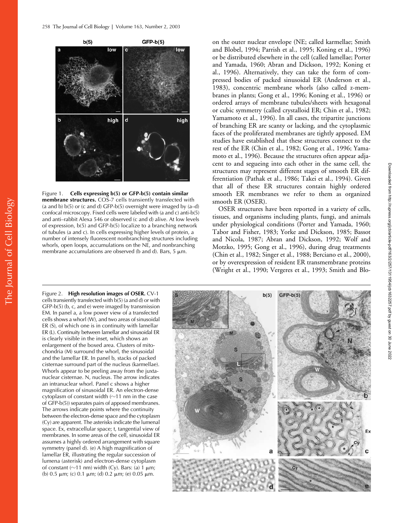

Figure 1. **Cells expressing b(5) or GFP-b(5) contain similar membrane structures.** COS-7 cells transiently transfected with (a and b)  $b(5)$  or (c and d) GFP- $b(5)$  overnight were imaged by (a–d) confocal microscopy. Fixed cells were labeled with (a and c) anti-b(5) and anti–rabbit Alexa 546 or observed (c and d) alive. At low levels of expression, b(5) and GFP-b(5) localize to a branching network of tubules (a and c). In cells expressing higher levels of protein, a number of intensely fluorescent nonbranching structures including whorls, open loops, accumulations on the NE, and nonbranching membrane accumulations are observed (b and d). Bars, 5  $\mu$ m.

on the outer nuclear envelope (NE; called karmellae; Smith and Blobel, 1994; Parrish et al., 1995; Koning et al., 1996) or be distributed elsewhere in the cell (called lamellae; Porter and Yamada, 1960; Abran and Dickson, 1992; Koning et al., 1996). Alternatively, they can take the form of compressed bodies of packed sinusoidal ER (Anderson et al., 1983), concentric membrane whorls (also called z-membranes in plants; Gong et al., 1996; Koning et al., 1996) or ordered arrays of membrane tubules/sheets with hexagonal or cubic symmetry (called crystalloid ER; Chin et al., 1982; Yamamoto et al., 1996). In all cases, the tripartite junctions of branching ER are scanty or lacking, and the cytoplasmic faces of the proliferated membranes are tightly apposed. EM studies have established that these structures connect to the rest of the ER (Chin et al., 1982; Gong et al., 1996; Yamamoto et al., 1996). Because the structures often appear adjacent to and segueing into each other in the same cell, the structures may represent different stages of smooth ER differentiation (Pathak et al., 1986; Takei et al., 1994). Given that all of these ER structures contain highly ordered smooth ER membranes we refer to them as organized smooth ER (OSER).

OSER structures have been reported in a variety of cells, tissues, and organisms including plants, fungi, and animals under physiological conditions (Porter and Yamada, 1960; Tabor and Fisher, 1983; Yorke and Dickson, 1985; Bassot and Nicola, 1987; Abran and Dickson, 1992; Wolf and Motzko, 1995; Gong et al., 1996), during drug treatments (Chin et al., 1982; Singer et al., 1988; Berciano et al., 2000), or by overexpression of resident ER transmembrane proteins (Wright et al., 1990; Vergeres et al., 1993; Smith and Blo-

Figure 2. **High resolution images of OSER.** CV-1 cells transiently transfected with b(5) (a and d) or with GFP-b(5) (b, c, and e) were imaged by transmission EM. In panel a, a low power view of a transfected cells shows a whorl (W), and two areas of sinusoidal ER (S), of which one is in continuity with lamellar ER (L). Continuity between lamellar and sinusoidal ER is clearly visible in the inset, which shows an enlargement of the boxed area. Clusters of mitochondria (M) surround the whorl, the sinusoidal and the lamellar ER. In panel b, stacks of packed cisternae surround part of the nucleus (karmellae). Whorls appear to be peeling away from the juxtanuclear cisternae. N, nucleus. The arrow indicates an intranuclear whorl. Panel c shows a higher magnification of sinusoidal ER. An electron-dense cytoplasm of constant width ( $\sim$ 11 nm in the case of GFP-b(5)) separates pairs of apposed membranes. The arrows indicate points where the continuity between the electron-dense space and the cytoplasm (Cy) are apparent. The asterisks indicate the lumenal space. Ex, extracellular space; t, tangential view of membranes. In some areas of the cell, sinusoidal ER assumes a highly ordered arrangement with square symmetry (panel d). (e) A high magnification of lamellar ER, illustrating the regular succession of lumena (asterisk) and electron-dense cytoplasm of constant ( $\sim$ 11 nm) width (Cy). Bars: (a) 1  $\mu$ m; (b)  $0.5 \mu m$ ; (c)  $0.1 \mu m$ ; (d)  $0.2 \mu m$ ; (e)  $0.05 \mu m$ .

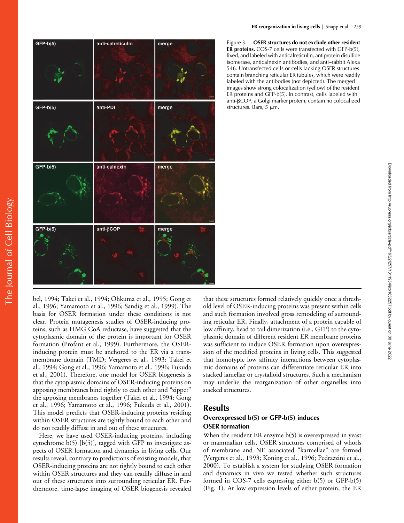



bel, 1994; Takei et al., 1994; Ohkuma et al., 1995; Gong et al., 1996; Yamamoto et al., 1996; Sandig et al., 1999). The basis for OSER formation under these conditions is not clear. Protein mutagenesis studies of OSER-inducing proteins, such as HMG CoA reductase, have suggested that the cytoplasmic domain of the protein is important for OSER formation (Profant et al., 1999). Furthermore, the OSERinducing protein must be anchored to the ER via a transmembrane domain (TMD; Vergeres et al., 1993; Takei et al., 1994; Gong et al., 1996; Yamamoto et al., 1996; Fukuda et al., 2001). Therefore, one model for OSER biogenesis is that the cytoplasmic domains of OSER-inducing proteins on apposing membranes bind tightly to each other and "zipper" the apposing membranes together (Takei et al., 1994; Gong et al., 1996; Yamamoto et al., 1996; Fukuda et al., 2001). This model predicts that OSER-inducing proteins residing within OSER structures are tightly bound to each other and do not readily diffuse in and out of these structures.

Here, we have used OSER-inducing proteins, including cytochrome b(5) [b(5)], tagged with GFP to investigate aspects of OSER formation and dynamics in living cells. Our results reveal, contrary to predictions of existing models, that OSER-inducing proteins are not tightly bound to each other within OSER structures and they can readily diffuse in and out of these structures into surrounding reticular ER. Furthermore, time-lapse imaging of OSER biogenesis revealed that these structures formed relatively quickly once a threshold level of OSER-inducing proteins was present within cells and such formation involved gross remodeling of surrounding reticular ER. Finally, attachment of a protein capable of low affinity, head to tail dimerization (i.e., GFP) to the cytoplasmic domain of different resident ER membrane proteins was sufficient to induce OSER formation upon overexpression of the modified proteins in living cells. This suggested that homotypic low affinity interactions between cytoplasmic domains of proteins can differentiate reticular ER into stacked lamellae or crystalloid structures. Such a mechanism may underlie the reorganization of other organelles into stacked structures.

## **Results**

# **Overexpressed b(5) or GFP-b(5) induces OSER formation**

When the resident ER enzyme b(5) is overexpressed in yeast or mammalian cells, OSER structures comprised of whorls of membrane and NE associated "karmellae" are formed (Vergeres et al., 1993; Koning et al., 1996; Pedrazzini et al., 2000). To establish a system for studying OSER formation and dynamics in vivo we tested whether such structures formed in COS-7 cells expressing either b(5) or GFP-b(5) (Fig. 1). At low expression levels of either protein, the ER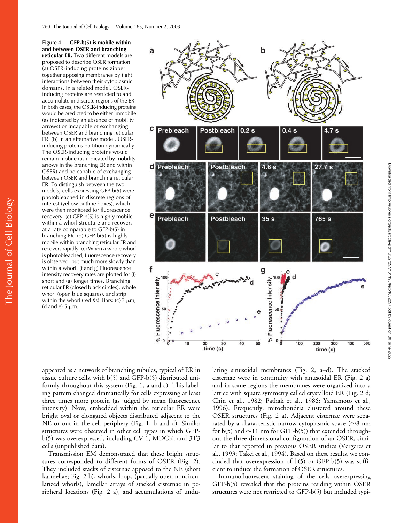Figure 4. **GFP-b(5) is mobile within and between OSER and branching reticular ER.** Two different models are proposed to describe OSER formation. (a) OSER-inducing proteins zipper together apposing membranes by tight interactions between their cytoplasmic domains. In a related model, OSERinducing proteins are restricted to and accumulate in discrete regions of the ER. In both cases, the OSER-inducing proteins would be predicted to be either immobile (as indicated by an absence of mobility arrows) or incapable of exchanging between OSER and branching reticular ER. (b) In an alternative model, OSERinducing proteins partition dynamically. The OSER-inducing proteins would remain mobile (as indicated by mobility arrows in the branching ER and within OSER) and be capable of exchanging between OSER and branching reticular ER. To distinguish between the two models, cells expressing GFP-b(5) were photobleached in discrete regions of interest (yellow outline boxes), which were then monitored for fluorescence recovery. (c) GFP-b(5) is highly mobile within a whorl structure and recovers at a rate comparable to GFP-b(5) in branching ER. (d) GFP-b(5) is highly mobile within branching reticular ER and recovers rapidly. (e) When a whole whorl is photobleached, fluorescence recovery is observed, but much more slowly than within a whorl. (f and g) Fluorescence intensity recovery rates are plotted for (f) short and (g) longer times. Branching reticular ER (closed black circles), whole whorl (open blue squares), and strip within the whorl (red Xs). Bars: (c) 3  $\mu$ m; (d and e) 5  $\mu$ m.



appeared as a network of branching tubules, typical of ER in tissue culture cells, with b(5) and GFP-b(5) distributed uniformly throughout this system (Fig. 1, a and c). This labeling pattern changed dramatically for cells expressing at least three times more protein (as judged by mean fluorescence intensity). Now, embedded within the reticular ER were bright oval or elongated objects distributed adjacent to the NE or out in the cell periphery (Fig. 1, b and d). Similar structures were observed in other cell types in which GFPb(5) was overexpressed, including CV-1, MDCK, and 3T3 cells (unpublished data).

Transmission EM demonstrated that these bright structures corresponded to different forms of OSER (Fig. 2). They included stacks of cisternae apposed to the NE (short karmellae; Fig. 2 b), whorls, loops (partially open noncircularized whorls), lamellar arrays of stacked cisternae in peripheral locations (Fig. 2 a), and accumulations of undulating sinusoidal membranes (Fig. 2, a–d). The stacked cisternae were in continuity with sinusoidal ER (Fig. 2 a) and in some regions the membranes were organized into a lattice with square symmetry called crystalloid ER (Fig. 2 d; Chin et al., 1982; Pathak et al., 1986; Yamamoto et al., 1996). Frequently, mitochondria clustered around these OSER structures (Fig. 2 a). Adjacent cisternae were separated by a characteristic narrow cytoplasmic space ( $\sim$ 8 nm for b(5) and  ${\sim}11$  nm for GFP-b(5)) that extended throughout the three-dimensional configuration of an OSER, similar to that reported in previous OSER studies (Vergeres et al., 1993; Takei et al., 1994). Based on these results, we concluded that overexpression of b(5) or GFP-b(5) was sufficient to induce the formation of OSER structures.

Downloaded from http://rupress.org/jcb/article-pdf/163/2/257/1311954/jcb1632257.pdf by guest on 30 June 2022

Downloaded from http://rupress.org/jcb/article-pdf/163/2/257/1311954/jcb1632257.pdf by guest on 30 June 2022

Immunofluorescent staining of the cells overexpressing GFP-b(5) revealed that the proteins residing within OSER structures were not restricted to GFP-b(5) but included typi-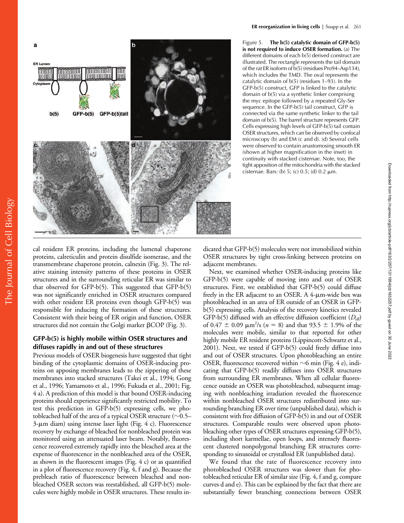

```
Figure 5. The b(5) catalytic domain of GFP-b(5) 
is not required to induce OSER formation. (a) The 
different domains of each b(5) derived construct are 
illustrated. The rectangle represents the tail domain 
of the rat ER isoform of b(5) (residues Pro94–Asp134), 
which includes the TMD. The oval represents the 
catalytic domain of b(5) (residues 1–93). In the 
GFP-b(5) construct, GFP is linked to the catalytic 
domain of b(5) via a synthetic linker comprising 
the myc epitope followed by a repeated Gly-Ser 
sequence. In the GFP-b(5) tail construct, GFP is 
connected via the same synthetic linker to the tail 
domain of b(5). The barrel structure represents GFP. 
Cells expressing high levels of GFP-b(5) tail contain 
OSER structures, which can be observed by confocal 
microscopy (b) and EM (c and d). (d) Several cells 
were observed to contain anastomosing smooth ER 
(shown at higher magnification in the inset) in 
continuity with stacked cisternae. Note, too, the 
tight apposition of the mitochondria with the stacked 
cisternae. Bars: (b) 5; (c) 0.5; (d) 0.2 \mum.
```
cal resident ER proteins, including the lumenal chaperone proteins, calreticulin and protein disulfide isomerase, and the transmembrane chaperone protein, calnexin (Fig. 3). The relative staining intensity patterns of these proteins in OSER structures and in the surrounding reticular ER was similar to that observed for GFP-b(5). This suggested that GFP-b(5) was not significantly enriched in OSER structures compared with other resident ER proteins even though GFP-b(5) was responsible for inducing the formation of these structures. Consistent with their being of ER origin and function, OSER structures did not contain the Golgi marker  $\beta$ COP (Fig. 3).

## **GFP-b(5) is highly mobile within OSER structures and diffuses rapidly in and out of these structures**

Previous models of OSER biogenesis have suggested that tight binding of the cytoplasmic domains of OSER-inducing proteins on apposing membranes leads to the zippering of these membranes into stacked structures (Takei et al., 1994; Gong et al., 1996; Yamamoto et al., 1996; Fukuda et al., 2001; Fig. 4 a). A prediction of this model is that bound OSER-inducing proteins should experience significantly restricted mobility. To test this prediction in GFP-b(5) expressing cells, we photobleached half of the area of a typical OSER structure ( $\sim$ 0.5– 3-um diam) using intense laser light (Fig. 4 c). Fluorescence recovery by exchange of bleached for nonbleached protein was monitored using an attenuated laser beam. Notably, fluorescence recovered extremely rapidly into the bleached area at the expense of fluorescence in the nonbleached area of the OSER, as shown in the fluorescent images (Fig. 4 c) or as quantified in a plot of fluorescence recovery (Fig. 4, f and g). Because the prebleach ratio of fluorescence between bleached and nonbleached OSER sectors was reestablished, all GFP-b(5) molecules were highly mobile in OSER structures. These results indicated that GFP-b(5) molecules were not immobilized within OSER structures by tight cross-linking between proteins on adjacent membranes.

Next, we examined whether OSER-inducing proteins like GFP-b(5) were capable of moving into and out of OSER structures. First, we established that GFP-b(5) could diffuse freely in the ER adjacent to an OSER. A 4- $\mu$ m-wide box was photobleached in an area of ER outside of an OSER in GFPb(5) expressing cells. Analysis of the recovery kinetics revealed GFP-b(5) diffused with an effective diffusion coefficient  $(D<sub>eff</sub>)$ of 0.47  $\pm$  0.09  $\mu$ m<sup>2</sup>/s (n = 8) and that 93.5  $\pm$  1.9% of the molecules were mobile, similar to that reported for other highly mobile ER resident proteins (Lippincott-Schwartz et al., 2001). Next, we tested if GFP-b(5) could freely diffuse into and out of OSER structures. Upon photobleaching an entire OSER, fluorescence recovered within  $\sim$ 6 min (Fig. 4 e), indicating that GFP-b(5) readily diffuses into OSER structures from surrounding ER membranes. When all cellular fluorescence outside an OSER was photobleached, subsequent imaging with nonbleaching irradiation revealed the fluorescence within nonbleached OSER structures redistributed into surrounding branching ER over time (unpublished data), which is consistent with free diffusion of GFP-b(5) in and out of OSER structures. Comparable results were observed upon photobleaching other types of OSER structures expressing GFP-b(5), including short karmellae, open loops, and intensely fluorescent clustered nonpolygonal branching ER structures corresponding to sinusoidal or crystalloid ER (unpublished data).

We found that the rate of fluorescence recovery into photobleached OSER structures was slower than for photobleached reticular ER of similar size (Fig. 4, f and g, compare curves d and e). This can be explained by the fact that there are substantially fewer branching connections between OSER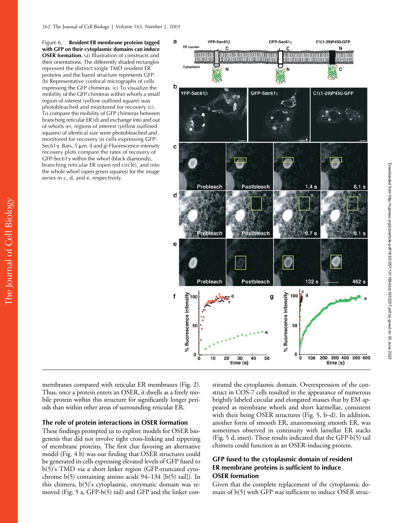Figure 6. **Resident ER membrane proteins tagged with GFP on their cytoplasmic domains can induce OSER formation.** (a) Illustration of constructs and their orientations. The differently shaded rectangles represent the distinct single TMD resident ER proteins and the barrel structure represents GFP. (b) Representative confocal micrographs of cells expressing the GFP chimeras. (c) To visualize the mobility of the GFP chimeras within whorls a small region of interest (yellow outlined square) was photobleached and monitored for recovery (c). To compare the mobility of GFP chimeras between branching reticular ER (d) and exchange into and out of whorls (e), regions of interest (yellow outlined squares) of identical size were photobleached and monitored for recovery in cells expressing GFP-Sec61 $\gamma$ . Bars, 5  $\mu$ m. (f and g) Fluorescence intensity recovery plots compare the rates of recovery of  $GFP-Sec61\gamma$  within the whorl (black diamonds), branching reticular ER (open red circle), and into the whole whorl (open green squares) for the image series in c, d, and e, respectively.

The Journal of Cell Biology

The Journal of Cell Biology



membranes compared with reticular ER membranes (Fig. 2). Thus, once a protein enters an OSER, it dwells as a freely mobile protein within this structure for significantly longer periods than within other areas of surrounding reticular ER.

## **The role of protein interactions in OSER formation**

These findings prompted us to explore models for OSER biogenesis that did not involve tight cross-linking and zippering of membrane proteins. The first clue favoring an alternative model (Fig. 4 b) was our finding that OSER structures could be generated in cells expressing elevated levels of GFP fused to b(5)'s TMD via a short linker region (GFP-truncated cytochrome b(5) containing amino acids 94–134 [b(5) tail]). In this chimera, b(5)'s cytoplasmic, enzymatic domain was removed (Fig. 5 a, GFP-b(5) tail) and GFP and the linker constituted the cytoplasmic domain. Overexpression of the construct in COS-7 cells resulted in the appearance of numerous brightly labeled circular and elongated masses that by EM appeared as membrane whorls and short karmellae, consistent with their being OSER structures (Fig. 5, b–d). In addition, another form of smooth ER, anastomosing smooth ER, was sometimes observed in continuity with lamellar ER stacks (Fig. 5 d, inset). These results indicated that the GFP-b(5) tail chimera could function as an OSER-inducing protein.

## **GFP fused to the cytoplasmic domain of resident ER membrane proteins is sufficient to induce OSER formation**

Given that the complete replacement of the cytoplasmic domain of b(5) with GFP was sufficient to induce OSER struc-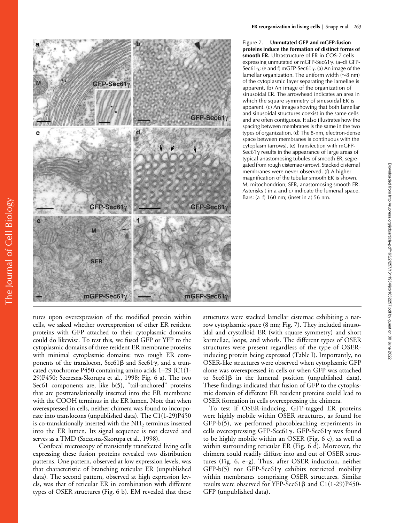

Figure 7. **Unmutated GFP and mGFP-fusion proteins induce the formation of distinct forms of smooth ER.** Ultrastructure of ER in COS-7 cells expressing unmutated or mGFP-Sec61y. (a-d) GFP-Sec61 $\gamma$ ; (e and f) mGFP-Sec61 $\gamma$ . (a) An image of the lamellar organization. The uniform width ( $\sim$ 8 nm) of the cytoplasmic layer separating the lamellae is apparent. (b) An image of the organization of sinusoidal ER. The arrowhead indicates an area in which the square symmetry of sinusoidal ER is apparent. (c) An image showing that both lamellar and sinusoidal structures coexist in the same cells and are often contiguous. It also illustrates how the spacing between membranes is the same in the two types of organization. (d) The 8-nm, electron-dense space between membranes is continuous with the cytoplasm (arrows). (e) Transfection with mGFP-Sec61 $\gamma$  results in the appearance of large areas of typical anastomosing tubules of smooth ER, segregated from rough cisternae (arrow). Stacked cisternal membranes were never observed. (f) A higher magnification of the tubular smooth ER is shown. M, mitochondrion; SER, anastomosing smooth ER. Asterisks ( in a and c) indicate the lumenal space. Bars: (a–f) 160 nm; (inset in a) 56 nm.

tures upon overexpression of the modified protein within cells, we asked whether overexpression of other ER resident proteins with GFP attached to their cytoplasmic domains could do likewise. To test this, we fused GFP or YFP to the cytoplasmic domains of three resident ER membrane proteins with minimal cytoplasmic domains: two rough ER components of the translocon, Sec61 $\beta$  and Sec61 $\gamma$ , and a truncated cytochrome P450 containing amino acids 1–29 (C1(1- 29)P450; Szczesna-Skorupa et al., 1998; Fig. 6 a). The two Sec61 components are, like b(5), "tail-anchored" proteins that are posttranslationally inserted into the ER membrane with the COOH terminus in the ER lumen. Note that when overexpressed in cells, neither chimera was found to incorporate into translocons (unpublished data). The C1(1-29)P450 is co-translationally inserted with the  $NH<sub>2</sub>$  terminus inserted into the ER lumen. Its signal sequence is not cleaved and serves as a TMD (Szczesna-Skorupa et al., 1998).

Confocal microscopy of transiently transfected living cells expressing these fusion proteins revealed two distribution patterns. One pattern, observed at low expression levels, was that characteristic of branching reticular ER (unpublished data). The second pattern, observed at high expression levels, was that of reticular ER in combination with different types of OSER structures (Fig. 6 b). EM revealed that these

structures were stacked lamellar cisternae exhibiting a narrow cytoplasmic space (8 nm; Fig. 7). They included sinusoidal and crystalloid ER (with square symmetry) and short karmellae, loops, and whorls. The different types of OSER structures were present regardless of the type of OSERinducing protein being expressed (Table I). Importantly, no OSER-like structures were observed when cytoplasmic GFP alone was overexpressed in cells or when GFP was attached to Sec61 $\beta$  in the lumenal position (unpublished data). These findings indicated that fusion of GFP to the cytoplasmic domain of different ER resident proteins could lead to OSER formation in cells overexpressing the chimera.

To test if OSER-inducing, GFP-tagged ER proteins were highly mobile within OSER structures, as found for GFP-b(5), we performed photobleaching experiments in cells overexpressing GFP-Sec61 $\gamma$ . GFP-Sec61 $\gamma$  was found to be highly mobile within an OSER (Fig. 6 c), as well as within surrounding reticular ER (Fig. 6 d). Moreover, the chimera could readily diffuse into and out of OSER structures (Fig. 6, e–g). Thus, after OSER induction, neither GFP- $b(5)$  nor GFP-Sec61 $\gamma$  exhibits restricted mobility within membranes comprising OSER structures. Similar results were observed for YFP-Sec61 $\beta$  and C1(1-29)P450-GFP (unpublished data).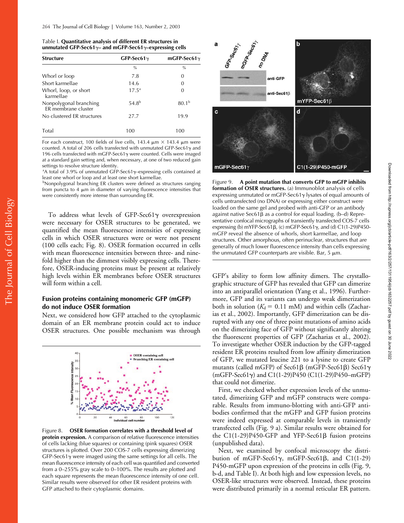| Table I. Quantitative analysis of different ER structures in             |
|--------------------------------------------------------------------------|
| unmutated GFP-Sec61 $\gamma$ – and mGFP-Sec61 $\gamma$ –expressing cells |

| <b>Structure</b>                              | GFP-Sec61 $\gamma$ | mGFP-Sec61 $\gamma$ |
|-----------------------------------------------|--------------------|---------------------|
|                                               | $\%$               | $\%$                |
| Whorl or loop                                 | 7.8                | 0                   |
| Short karmellae                               | 14.6               | $\Omega$            |
| Whorl, loop, or short<br>karmellae            | $17.5^a$           | 0                   |
| Nonpolygonal branching<br>FR membrane cluster | $54.8^{b}$         | 80.1 <sup>b</sup>   |
| No clustered FR structures                    | 27.7               | 19.9                |
| Total                                         | 100                | 100                 |

For each construct, 100 fields of live cells, 143.4  $\mu$ m  $\times$  143.4  $\mu$ m were counted. A total of 206 cells transfected with unmutated GFP-Sec61 $\gamma$  and 196 cells transfected with mGFP-Sec61y were counted. Cells were imaged at a standard gain setting and, when necessary, at one of two reduced gain settings to resolve structure identity.

<sup>a</sup>A total of 3.9% of unmutated GFP-Sec61 $\gamma$ -expressing cells contained at least one whorl or loop and at least one short karmellae.

<sup>b</sup>Nonpolygonal branching ER clusters were defined as structures ranging from puncta to 4  $\mu$ m in diameter of varying fluorescence intensities that were consistently more intense than surrounding ER.

To address what levels of GFP-Sec61 $\gamma$  overexpression were necessary for OSER structures to be generated, we quantified the mean fluorescence intensities of expressing cells in which OSER structures were or were not present (100 cells each; Fig. 8). OSER formation occurred in cells with mean fluorescence intensities between three- and ninefold higher than the dimmest visibly expressing cells. Therefore, OSER-inducing proteins must be present at relatively high levels within ER membranes before OSER structures will form within a cell.

The Journal of Cell Biology

The Journal of Cell Biology

## **Fusion proteins containing monomeric GFP (mGFP) do not induce OSER formation**

Next, we considered how GFP attached to the cytoplasmic domain of an ER membrane protein could act to induce OSER structures. One possible mechanism was through



Figure 8. **OSER formation correlates with a threshold level of protein expression.** A comparison of relative fluorescence intensities of cells lacking (blue squares) or containing (pink squares) OSER structures is plotted. Over 200 COS-7 cells expressing dimerizing GFP-Sec61 $\gamma$  were imaged using the same settings for all cells. The mean fluorescence intensity of each cell was quantified and converted from a 0–255% gray scale to 0–100%. The results are plotted and each square represents the mean fluorescence intensity of one cell. Similar results were observed for other ER resident proteins with GFP attached to their cytoplasmic domains.



Figure 9. **A point mutation that converts GFP to mGFP inhibits formation of OSER structures.** (a) Immunoblot analysis of cells expressing unmutated or mGFP-Sec61 $\gamma$  lysates of equal amounts of cells untransfected (no DNA) or expressing either construct were loaded on the same gel and probed with anti-GFP or an antibody against native Sec61 $\beta$  as a control for equal loading. (b–d) Representative confocal micrographs of transiently transfected COS-7 cells expressing (b) mYFP-Sec61 $\beta$ , (c) mGFP-Sec61 $\gamma$ , and (d) C1(1-29)P450mGFP reveal the absence of whorls, short karmellae, and loop structures. Other amorphous, often perinuclear, structures that are generally of much lower fluorescence intensity than cells expressing the unmutated GFP counterparts are visible. Bar,  $5 \mu m$ .

GFP's ability to form low affinity dimers. The crystallographic structure of GFP has revealed that GFP can dimerize into an antiparallel orientation (Yang et al., 1996). Furthermore, GFP and its variants can undergo weak dimerization both in solution  $(K_d = 0.11$  mM) and within cells (Zacharias et al., 2002). Importantly, GFP dimerization can be disrupted with any one of three point mutations of amino acids on the dimerizing face of GFP without significantly altering the fluorescent properties of GFP (Zacharias et al., 2002). To investigate whether OSER induction by the GFP-tagged resident ER proteins resulted from low affinity dimerization of GFP, we mutated leucine 221 to a lysine to create GFP mutants (called mGFP) of Sec61 $\beta$  (mGFP-Sec61 $\beta$ ) Sec61 $\gamma$  $(mGFP-Sec61\gamma)$  and  $C1(1-29)P450 (C1(1-29)P450-mGFP)$ that could not dimerize.

First, we checked whether expression levels of the unmutated, dimerizing GFP and mGFP constructs were comparable. Results from immuno-blotting with anti-GFP antibodies confirmed that the mGFP and GFP fusion proteins were indeed expressed at comparable levels in transiently transfected cells (Fig. 9 a). Similar results were obtained for the  $C1(1-29)P450-GFP$  and YFP-Sec61 $\beta$  fusion proteins (unpublished data).

Next, we examined by confocal microscopy the distribution of mGFP-Sec61 $\gamma$ , mGFP-Sec61 $\beta$ , and C1(1-29) P450-mGFP upon expression of the proteins in cells (Fig. 9, b-d, and Table I). At both high and low expression levels, no OSER-like structures were observed. Instead, these proteins were distributed primarily in a normal reticular ER pattern.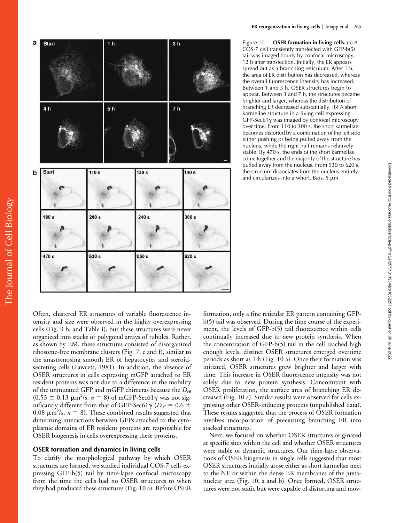

Figure 10. **OSER formation in living cells.** (a) A COS-7 cell transiently transfected with GFP-b(5) tail was imaged hourly by confocal microscopy, 12 h after transfection. Initially, the ER appears spread out as a branching reticulum. After 1 h, the area of ER distribution has decreased, whereas the overall fluorescence intensity has increased. Between 1 and 3 h, OSER structures begin to appear. Between 3 and 7 h, the structures became brighter and larger, whereas the distribution of branching ER decreased substantially. (b) A short karmellae structure in a living cell expressing GFP-Sec61γ was imaged by confocal microscopy over time. From 110 to 300 s, the short karmellae becomes distorted by a combination of the left side either pushing or being pulled away from the nucleus, while the right half remains relatively stable. By 470 s, the ends of the short karmellae come together and the majority of the structure has pulled away from the nucleus. From 530 to 620 s, the structure dissociates from the nucleus entirely and circularizes into a whorl. Bars, 5  $\mu$ m.

Downloaded from http://rupress.org/jcb/article-pdf/163/2/257/1311954/jcb1632257.pdf by guest on 30 June 2022

Downloaded from http://rupress.org/jcb/article-pdf/163/2/257/1311954/jcb1632257.pdf by guest on 30 June 2022

Often, clustered ER structures of variable fluorescence intensity and size were observed in the highly overexpressing cells (Fig. 9 b, and Table I), but these structures were never organized into stacks or polygonal arrays of tubules. Rather, as shown by EM, these structures consisted of disorganized ribosome-free membrane clusters (Fig. 7, e and f), similar to the anastomosing smooth ER of hepatocytes and steroidsecreting cells (Fawcett, 1981). In addition, the absence of OSER structures in cells expressing mGFP attached to ER resident proteins was not due to a difference in the mobility of the unmutated GFP and mGFP chimeras because the  $D_{\text{eff}}$  $(0.53 \pm 0.13 \ \mu \text{m}^2/\text{s}, n = 8)$  of mGFP-Sec61 $\gamma$  was not significantly different from that of GFP-Sec61 $\gamma$  ( $D_{\text{eff}} = 0.6 \pm$ 0.08  $\mu$ m<sup>2</sup>/s, n = 8). These combined results suggested that dimerizing interactions between GFPs attached to the cytoplasmic domains of ER resident proteins are responsible for OSER biogenesis in cells overexpressing these proteins.

### **OSER formation and dynamics in living cells**

To clarify the morphological pathway by which OSER structures are formed, we studied individual COS-7 cells expressing GFP-b(5) tail by time-lapse confocal microscopy from the time the cells had no OSER structures to when they had produced these structures (Fig. 10 a). Before OSER

formation, only a fine reticular ER pattern containing GFPb(5) tail was observed. During the time course of the experiment, the levels of GFP-b(5) tail fluorescence within cells continually increased due to new protein synthesis. When the concentration of GFP-b(5) tail in the cell reached high enough levels, distinct OSER structures emerged overtime periods as short as 1 h (Fig. 10 a). Once their formation was initiated, OSER structures grew brighter and larger with time. This increase in OSER fluorescence intensity was not solely due to new protein synthesis. Concomitant with OSER proliferation, the surface area of branching ER decreased (Fig. 10 a). Similar results were observed for cells expressing other OSER-inducing proteins (unpublished data). These results suggested that the process of OSER formation involves incorporation of preexisting branching ER into stacked structures.

Next, we focused on whether OSER structures originated at specific sites within the cell and whether OSER structures were stable or dynamic structures. Our time-lapse observations of OSER biogenesis in single cells suggested that most OSER structures initially arose either as short karmellae next to the NE or within the dense ER membranes of the juxtanuclear area (Fig. 10, a and b). Once formed, OSER structures were not static but were capable of distorting and mov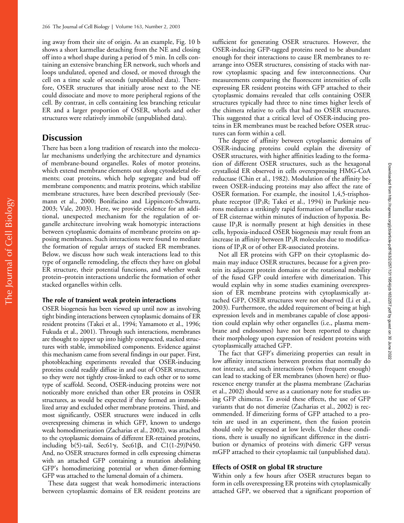ing away from their site of origin. As an example, Fig. 10 b shows a short karmellae detaching from the NE and closing off into a whorl shape during a period of 5 min. In cells containing an extensive branching ER network, such whorls and loops undulated, opened and closed, or moved through the cell on a time scale of seconds (unpublished data). Therefore, OSER structures that initially arose next to the NE could dissociate and move to more peripheral regions of the cell. By contrast, in cells containing less branching reticular ER and a larger proportion of OSER, whorls and other structures were relatively immobile (unpublished data).

# **Discussion**

There has been a long tradition of research into the molecular mechanisms underlying the architecture and dynamics of membrane-bound organelles. Roles of motor proteins, which extend membrane elements out along cytoskeletal elements; coat proteins, which help segregate and bud off membrane components; and matrix proteins, which stabilize membrane structures, have been described previously (Seemann et al., 2000; Bonifacino and Lippincott-Schwartz, 2003; Vale, 2003). Here, we provide evidence for an additional, unexpected mechanism for the regulation of organelle architecture involving weak homotypic interactions between cytoplasmic domains of membrane proteins on apposing membranes. Such interactions were found to mediate the formation of regular arrays of stacked ER membranes. Below, we discuss how such weak interactions lead to this type of organelle remodeling, the effects they have on global ER structure, their potential functions, and whether weak protein–protein interactions underlie the formation of other stacked organelles within cells.

### **The role of transient weak protein interactions**

OSER biogenesis has been viewed up until now as involving tight binding interactions between cytoplasmic domains of ER resident proteins (Takei et al., 1994; Yamamoto et al., 1996; Fukuda et al., 2001). Through such interactions, membranes are thought to zipper up into highly compacted, stacked structures with stable, immobilized components. Evidence against this mechanism came from several findings in our paper. First, photobleaching experiments revealed that OSER-inducing proteins could readily diffuse in and out of OSER structures, so they were not tightly cross-linked to each other or to some type of scaffold. Second, OSER-inducing proteins were not noticeably more enriched than other ER proteins in OSER structures, as would be expected if they formed an immobilized array and excluded other membrane proteins. Third, and most significantly, OSER structures were induced in cells overexpressing chimeras in which GFP, known to undergo weak homodimerization (Zacharias et al., 2002), was attached to the cytoplasmic domains of different ER-retained proteins, including  $b(5)$ -tail, Sec $61\gamma$ , Sec $61\beta$ , and C1(1-29)P450. And, no OSER structures formed in cells expressing chimeras with an attached GFP containing a mutation abolishing GFP's homodimerizing potential or when dimer-forming GFP was attached to the lumenal domain of a chimera.

These data suggest that weak homodimeric interactions between cytoplasmic domains of ER resident proteins are

sufficient for generating OSER structures. However, the OSER-inducing GFP-tagged proteins need to be abundant enough for their interactions to cause ER membranes to rearrange into OSER structures, consisting of stacks with narrow cytoplasmic spacing and few interconnections. Our measurements comparing the fluorescent intensities of cells expressing ER resident proteins with GFP attached to their cytoplasmic domains revealed that cells containing OSER structures typically had three to nine times higher levels of the chimera relative to cells that had no OSER structures. This suggested that a critical level of OSER-inducing proteins in ER membranes must be reached before OSER structures can form within a cell.

The degree of affinity between cytoplasmic domains of OSER-inducing proteins could explain the diversity of OSER structures, with higher affinities leading to the formation of different OSER structures, such as the hexagonal crystalloid ER observed in cells overexpressing HMG-CoA reductase (Chin et al., 1982). Modulation of the affinity between OSER-inducing proteins may also affect the rate of OSER formation. For example, the inositol 1,4,5-trisphosphate receptor (IP<sub>3</sub>R; Takei et al., 1994) in Purkinje neurons mediates a strikingly rapid formation of lamellar stacks of ER cisternae within minutes of induction of hypoxia. Because  $IP_3R$  is normally present at high densities in these cells, hypoxia-induced OSER biogenesis may result from an increase in affinity between  $IP_3R$  molecules due to modifications of  $IP_3R$  or of other ER-associated proteins.

Not all ER proteins with GFP on their cytoplasmic domain may induce OSER structures, because for a given protein its adjacent protein domains or the rotational mobility of the fused GFP could interfere with dimerization. This would explain why in some studies examining overexpression of ER membrane proteins with cytoplasmically attached GFP, OSER structures were not observed (Li et al., 2003). Furthermore, the added requirement of being at high expression levels and in membranes capable of close apposition could explain why other organelles (i.e., plasma membrane and endosomes) have not been reported to change their morphology upon expression of resident proteins with cytoplasmically attached GFP.

The fact that GFP's dimerizing properties can result in low affinity interactions between proteins that normally do not interact, and such interactions (when frequent enough) can lead to stacking of ER membranes (shown here) or fluorescence energy transfer at the plasma membrane (Zacharias et al., 2002) should serve as a cautionary note for studies using GFP chimeras. To avoid these effects, the use of GFP variants that do not dimerize (Zacharias et al., 2002) is recommended. If dimerizing forms of GFP attached to a protein are used in an experiment, then the fusion protein should only be expressed at low levels. Under these conditions, there is usually no significant difference in the distribution or dynamics of proteins with dimeric GFP versus mGFP attached to their cytoplasmic tail (unpublished data).

## **Effects of OSER on global ER structure**

Within only a few hours after OSER structures began to form in cells overexpressing ER proteins with cytoplasmically attached GFP, we observed that a significant proportion of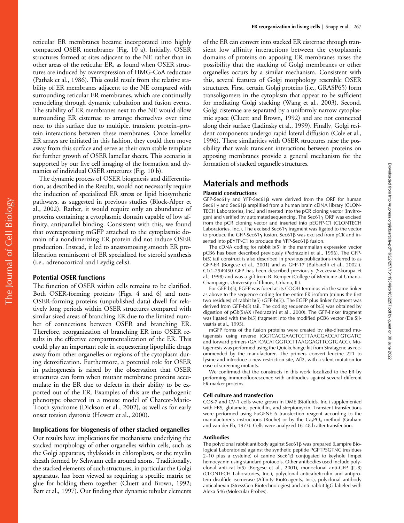reticular ER membranes became incorporated into highly compacted OSER membranes (Fig. 10 a). Initially, OSER structures formed at sites adjacent to the NE rather than in other areas of the reticular ER, as found when OSER structures are induced by overexpression of HMG-CoA reductase (Pathak et al., 1986). This could result from the relative stability of ER membranes adjacent to the NE compared with surrounding reticular ER membranes, which are continually remodeling through dynamic tubulation and fusion events. The stability of ER membranes next to the NE would allow surrounding ER cisternae to arrange themselves over time next to this surface due to multiple, transient protein–protein interactions between these membranes. Once lamellar ER arrays are initiated in this fashion, they could then move away from this surface and serve as their own stable template for further growth of OSER lamellar sheets. This scenario is supported by our live cell imaging of the formation and dynamics of individual OSER structures (Fig. 10 b).

The dynamic process of OSER biogenesis and differentiation, as described in the Results, would not necessarily require the induction of specialized ER stress or lipid biosynthetic pathways, as suggested in previous studies (Block-Alper et al., 2002). Rather, it would require only an abundance of proteins containing a cytoplasmic domain capable of low affinity, antiparallel binding. Consistent with this, we found that overexpressing mGFP attached to the cytoplasmic domain of a nondimerizing ER protein did not induce OSER production. Instead, it led to anastomosing smooth ER proliferation reminiscent of ER specialized for steroid synthesis (i.e., adrenocortical and Leydig cells).

## **Potential OSER functions**

The function of OSER within cells remains to be clarified. Both OSER-forming proteins (Figs. 4 and 6) and non-OSER-forming proteins (unpublished data) dwell for relatively long periods within OSER structures compared with similar sized areas of branching ER due to the limited number of connections between OSER and branching ER. Therefore, reorganization of branching ER into OSER results in the effective compartmentalization of the ER. This could play an important role in sequestering lipophilic drugs away from other organelles or regions of the cytoplasm during detoxification. Furthermore, a potential role for OSER in pathogenesis is raised by the observation that OSER structures can form when mutant membrane proteins accumulate in the ER due to defects in their ability to be exported out of the ER. Examples of this are the pathogenic phenotype observed in a mouse model of Charcot-Marie-Tooth syndrome (Dickson et al., 2002), as well as for early onset torsion dystonia (Hewett et al., 2000).

## **Implications for biogenesis of other stacked organelles**

Our results have implications for mechanisms underlying the stacked morphology of other organelles within cells, such as the Golgi apparatus, thylakoids in chloroplasts, or the myelin sheath formed by Schwann cells around axons. Traditionally, the stacked elements of such structures, in particular the Golgi apparatus, has been viewed as requiring a specific matrix or glue for holding them together (Cluett and Brown, 1992; Barr et al., 1997). Our finding that dynamic tubular elements of the ER can convert into stacked ER cisternae through transient low affinity interactions between the cytoplasmic domains of proteins on apposing ER membranes raises the possibility that the stacking of Golgi membranes or other organelles occurs by a similar mechanism. Consistent with this, several features of Golgi morphology resemble OSER structures. First, certain Golgi proteins (i.e., GRASP65) form transoligomers in the cytoplasm that appear to be sufficient for mediating Golgi stacking (Wang et al., 2003). Second, Golgi cisternae are separated by a uniformly narrow cytoplasmic space (Cluett and Brown, 1992) and are not connected along their surface (Ladinsky et al., 1999). Finally, Golgi resident components undergo rapid lateral diffusion (Cole et al., 1996). These similarities with OSER structures raise the possibility that weak transient interactions between proteins on apposing membranes provide a general mechanism for the formation of stacked organelle structures.

# **Materials and methods**

#### **Plasmid constructions**

 $GFP-Sec61\gamma$  and YFP-Sec61 $\beta$  were derived from the ORF for human Sec61 $\gamma$  and Sec61 $\beta$  amplified from a human brain cDNA library (CLON-TECH Laboratories, Inc.) and inserted into the pCR cloning vector (Invitrogen) and verified by automated sequencing. The Sec61 $\gamma$  ORF was excised from the pCR cloning vector and inserted into pEGFP-C1 (CLONTECH Laboratories, Inc.). The excised Sec61 $\gamma$  fragment was ligated to the vector to produce the GFP-Sec61 $\gamma$  fusion. Sec61 $\beta$  was excised from pCR and inserted into pEYFP-C1 to produce the YFP-Sec61 $\beta$  fusion.

The cDNA coding for rabbit b(5) in the mammalian expression vector pCB6 has been described previously (Pedrazzini et al., 1996). The GFPb(5) tail construct is also described in previous publications (referred to as GFP-ER [Borgese et al., 2001] and as GFP-17 [Bulbarelli et al., 2002]). C1(1-29)P450 GFP has been described previously (Szczesna-Skorupa et al., 1998) and was a gift from B. Kemper (College of Medicine at Urbana-Champaign, University of Illinois, Urbana, IL).

For GFP-b(5), EGFP was fused at its COOH terminus via the same linker as above to the sequence coding for the entire ER isoform (minus the first two residues) of rabbit b(5) (GFP-b(5)). The EGFP plus linker fragment was derived from GFP-b(5) tail. The coding sequence of b(5) was obtained by digestion of pGb(5)AX (Pedrazzini et al., 2000). The GFP-linker fragment was ligated with the b(5) fragment into the modified pCB6 vector (De Silvestris et al., 1995).

mGFP forms of the fusion proteins were created by site-directed mutagenesis using reverse (GGTCACGAACTCCTTAAGGACCATGTGATC) and forward primers (GATCACATGGTCCTTAAGGAGTTCGTGACC). Mutagenesis was performed using the Quickchange kit from Stratagene as recommended by the manufacturer. The primers convert leucine 221 to lysine and introduce a new restriction site, Afl2, with a silent mutation for ease of screening mutants.

We confirmed that the constructs in this work localized to the ER by performing immunofluorescence with antibodies against several different ER marker proteins.

#### **Cell culture and transfection**

COS-7 and CV-1 cells were grown in DME (Biofluids, Inc.) supplemented with FBS, glutamate, penicillin, and streptomycin. Transient transfections were performed using FuGENE 6 transfection reagent according to the manufacturer's instructions (Roche) or by the  $Ca<sub>2</sub>PO<sub>4</sub>$  method (Graham and van der Eb, 1973). Cells were analyzed 16–48 h after transfection.

#### **Antibodies**

The polyclonal rabbit antibody against Sec61ß was prepared (Lampire Biological Laboratories) against the synthetic peptide PGPTPSGTNC (residues  $2-10$  plus a cysteine) of canine Sec61 $\beta$  conjugated to keyhole limpet hemocyanin using standard protocols. Other antibodies used include polyclonal anti–rat b(5) (Borgese et al., 2001), monoclonal anti-GFP (JL-8) (CLONTECH Laboratories, Inc.), polyclonal anticalreticulin and antiprotein disulfide isomerase (Affinity BioReagents, Inc.), polyclonal antibody anticalnexin (StressGen Biotechnologies) and anti–rabbit IgG labeled with Alexa 546 (Molecular Probes).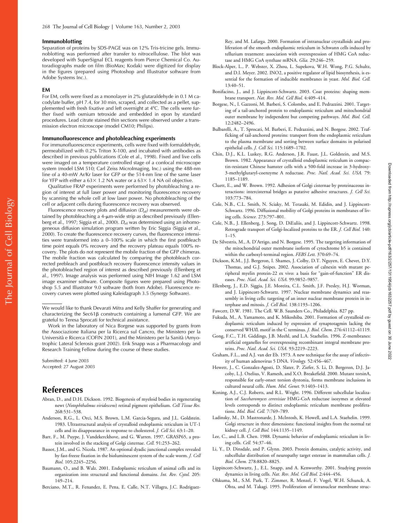#### **Immunoblotting**

Separation of proteins by SDS-PAGE was on 12% Tris-tricine gels. Immunoblotting was performed after transfer to nitrocellulose. The blot was developed with SuperSignal ECL reagents from Pierce Chemical Co. Autoradiographs made on film (BioMax; Kodak) were digitized for display in the figures (prepared using Photoshop and Illustrator software from Adobe Systems Inc.).

#### **EM**

For EM, cells were fixed as a monolayer in 2% glutaraldehyde in 0.1 M cacodylate buffer, pH 7.4, for 30 min, scraped, and collected as a pellet, supplemented with fresh fixative and left overnight at 4°C. The cells were further fixed with osmium tetroxide and embedded in epon by standard procedures. Lead citrate stained thin sections were observed under a transmission electron microscope (model CM10; Philips).

#### **Immunofluorescence and photobleaching experiments**

For immunofluorescence experiments, cells were fixed with formaldehyde, permeabilized with 0.2% Triton X-100, and incubated with antibodies as described in previous publications (Cole et al., 1998). Fixed and live cells were imaged on a temperature controlled stage of a confocal microscope system (model LSM 510; Carl Zeiss MicroImaging, Inc.) using the 488-nm line of a 40-mW Ar/Kr laser for GFP or the 514-nm line of the same laser for YFP with either a  $63 \times 1.2$  NA water or a  $63 \times 1.4$  NA oil objective.

Qualitative FRAP experiments were performed by photobleaching a region of interest at full laser power and monitoring fluorescence recovery by scanning the whole cell at low laser power. No photobleaching of the cell or adjacent cells during fluorescence recovery was observed.

Fluorescence recovery plots and diffusion ( $D_{\text{eff}}$ ) measurements were obtained by photobleaching a 4-µm-wide strip as described previously (Ellenberg et al., 1997; Siggia et al., 2000).  $D_{\text{eff}}$  was determined using an inhomogeneous diffusion simulation program written by Eric Siggia (Siggia et al., 2000). To create the fluorescence recovery curves, the fluorescence intensities were transformed into a 0–100% scale in which the first postbleach time point equals 0% recovery and the recovery plateau equals 100% recovery. The plots do not represent the mobile fraction of the GFP chimeras. The mobile fraction was calculated by comparing the photobleach corrected prebleach and postbleach recovery fluorescence intensity values in the photobleached region of interest as described previously (Ellenberg et al., 1997). Image analysis was performed using NIH Image 1.62 and LSM image examiner software. Composite figures were prepared using Photoshop 5.5 and Illustrator 9.0 software (both from Adobe). Fluorescence recovery curves were plotted using Kaleidagraph 3.5 (Synergy Software).

We would like to thank Devarati Mitra and Kelly Shaffer for generating and characterizing the  $Sec61B$  constructs containing a lumenal GFP. We are grateful to Teresa Sprocati for technical assistance.

Work in the laboratory of Nica Borgese was supported by grants from the Associazione Italiana per la Ricerca sul Cancro, the Ministero per la Università e Ricerca (COFIN 2001), and the Ministero per la Sanità (Amyotrophic Lateral Sclerosis grant 2002). Erik Snapp was a Pharmacology and Research Training Fellow during the course of these studies.

Submitted: 4 June 2003 Accepted: 27 August 2003

# **References**

- Abran, D., and D.H. Dickson. 1992. Biogenesis of myeloid bodies in regenerating newt (*Notophthalmus viridescens*) retinal pigment epithelium. *Cell Tissue Res.* 268:531–538.
- Anderson, R.G., L. Orci, M.S. Brown, L.M. Garcia-Segura, and J.L. Goldstein. 1983. Ultrastructural analysis of crystalloid endoplasmic reticulum in UT-1 cells and its disappearance in response to cholesterol. *J. Cell Sci.* 63:1–20.
- Barr, F., M. Puype, J. Vandekerckhove, and G. Warren. 1997. GRASP65, a protein involved in the stacking of Golgi cisternae. *Cell.* 91:253–262.
- Bassot, J.M., and G. Nicola. 1987. An optional dyadic junctional complex revealed by fast-freeze fixation in the bioluminescent system of the scale worm. *J. Cell Biol.* 105:2245–2256.
- Baumann, O., and B. Walz. 2001. Endoplasmic reticulum of animal cells and its organization into structural and functional domains. *Int. Rev. Cytol.* 205: 149–214.
- Berciano, M.T., R. Fenandez, E. Pena, E. Calle, N.T. Villagra, J.C. Rodriguez-

Rey, and M. Lafarga. 2000. Formation of intranuclear crystalloids and proliferation of the smooth endoplasmic reticulum in Schwann cells induced by tellurium treatment: association with overexpression of HMG CoA reductase and HMG CoA synthase mRNA. *Glia.* 29:246–259.

- Block-Alper, L., P. Webster, X. Zhou, L. Supekova, W.H. Wong, P.G. Schultz, and D.I. Meyer. 2002. INO2, a positive regulator of lipid biosynthesis, is essential for the formation of inducible membranes in yeast. *Mol. Biol. Cell.* 13:40–51.
- Bonifacino, J., and J. Lippincott-Schwartz. 2003. Coat proteins: shaping membrane transport. *Nat. Rev. Mol. Cell Biol.* 4:409–414.
- Borgese, N., I. Gazzoni, M. Barberi, S. Colombo, and E. Pedrazzini. 2001. Targeting of a tail-anchored protein to endoplasmic reticulum and mitochondrial outer membrane by independent but competing pathways. *Mol. Biol. Cell.* 12:2482–2496.
- Bulbarelli, A., T. Sprocati, M. Barberi, E. Pedrazzini, and N. Borgese. 2002. Trafficking of tail-anchored proteins: transport from the endoplasmic reticulum to the plasma membrane and sorting between surface domains in polarised epithelial cells. *J. Cell Sci.* 115:1689–1702.
- Chin, D.J., K.L. Luskey, R.G. Anderson, J.R. Faust, J.L. Goldstein, and M.S. Brown. 1982. Appearance of crystalloid endoplasmic reticulum in compactin-resistant Chinese hamster cells with a 500-fold increase in 3-hydroxy-3-methylglutaryl-coenzyme A reductase. *Proc. Natl. Acad. Sci. USA.* 79: 1185–1189.
- Cluett, E., and W. Brown. 1992. Adhesion of Golgi cisternae by proteinaceous interactions: intercisternal bridges as putative adhesive structures. *J. Cell Sci.* 103:773–784.
- Cole, N.B., C.L. Smith, N. Sciaky, M. Terasaki, M. Edidin, and J. Lippincott-Schwartz. 1996. Diffusional mobility of Golgi proteins in membranes of living cells. *Science.* 273:797–801.
- Cole, N.B., J. Ellenberg, J. Song, D. DiEuliis, and J. Lippincott-Schwartz. 1998. Retrograde transport of Golgi-localized proteins to the ER. *J. Cell Biol.* 140:  $1 - 15$
- De Silvestris, M., A. D'Arrigo, and N. Borgese. 1995. The targeting information of the mitochondrial outer membrane isoform of cytochrome b5 is contained within the carboxyl-terminal region. *FEBS Lett.* 370:69–74.
- Dickson, K.M., J.J. Bergeron, I. Shames, J. Colby, D.T. Nguyen, E. Chevet, D.Y. Thomas, and G.J. Snipes. 2002. Association of calnexin with mutant peripheral myelin protein-22 ex vivo: a basis for "gain-of-function" ER diseases. *Proc. Natl. Acad. Sci. USA.* 99:9852–9857.
- Ellenberg, J., E.D. Siggia, J.E. Moreira, C.L. Smith, J.F. Presley, H.J. Worman, and J. Lippincott-Schwartz. 1997. Nuclear membrane dynamics and reassembly in living cells: targeting of an inner nuclear membrane protein in interphase and mitosis. *J. Cell Biol.* 138:1193–1206.
- Fawcett, D.W. 1981. The Cell. W.B. Saunders Co., Philadelphia. 827 pp.
- Fukuda, M., A. Yamamoto, and K. Mikoshiba. 2001. Formation of crystalloid endoplasmic reticulum induced by expression of synaptotagmin lacking the conserved WH*X*L motif in the C terminus. *J. Biol. Chem.* 276:41112–41119.
- Gong, F.C., T.H. Giddings, J.B. Meehl, and L.A. Staehelin. 1996. Z-membranes: artificial organelles for overexpressing recombinant integral membrane proteins. *Proc. Natl. Acad. Sci. USA.* 93:2219–2223.
- Graham, F.L., and A.J. van der Eb. 1973. A new technique for the assay of infectivity of human adenovirus 5 DNA. *Virology.* 52:456–467.
- Hewett, J., C. Gonzalez-Agosti, D. Slater, P. Ziefer, S. Li, D. Bergeron, D.J. Jacoby, L.J. Ozelius, V. Ramesh, and X.O. Breakefield. 2000. Mutant torsinA, responsible for early-onset torsion dystonia, forms membrane inclusions in cultured neural cells. *Hum. Mol. Genet.* 9:1403–1413.
- Koning, A.J., C.J. Roberts, and R.L. Wright. 1996. Different subcellular localization of *Saccharomyces cerevisiae* HMG-CoA reductase isozymes at elevated levels corresponds to distinct endoplasmic reticulum membrane proliferations. *Mol. Biol. Cell.* 7:769–789.
- Ladinsky, M., D. Mastronarde, J. McIntosh, K. Howell, and L.A. Staehelin. 1999. Golgi structure in three dimensions: functional insights from the normal rat kidney cell. *J. Cell Biol.* 144:1135–1149.
- Lee, C., and L.B. Chen. 1988. Dynamic behavior of endoplasmic reticulum in living cells. *Cell.* 54:37–46.
- Li, Y., D. Dinsdale, and P. Glynn. 2003. Protein domains, catalytic activity, and subcellular distribution of neuropathy target esterase in mammalian cells. *J. Biol. Chem.* 278:8820–8825.
- Lippincott-Schwartz, J., E.L. Snapp, and A. Kenworthy. 2001. Studying protein dynamics in living cells. *Nat. Rev. Mol. Cell Biol.* 2:444–456.
- Ohkuma, M., S.M. Park, T. Zimmer, R. Menzel, F. Vogel, W.H. Schunck, A. Ohta, and M. Takagi. 1995. Proliferation of intranuclear membrane struc-